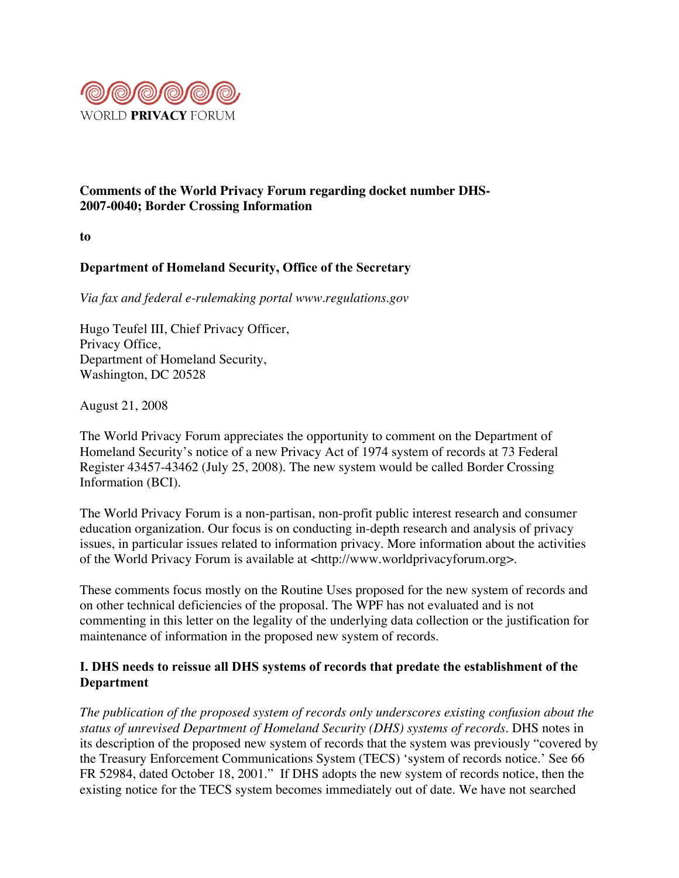

## **Comments of the World Privacy Forum regarding docket number DHS-2007-0040; Border Crossing Information**

**to**

# **Department of Homeland Security, Office of the Secretary**

*Via fax and federal e-rulemaking portal www.regulations.gov*

Hugo Teufel III, Chief Privacy Officer, Privacy Office, Department of Homeland Security, Washington, DC 20528

August 21, 2008

The World Privacy Forum appreciates the opportunity to comment on the Department of Homeland Security's notice of a new Privacy Act of 1974 system of records at 73 Federal Register 43457-43462 (July 25, 2008). The new system would be called Border Crossing Information (BCI).

The World Privacy Forum is a non-partisan, non-profit public interest research and consumer education organization. Our focus is on conducting in-depth research and analysis of privacy issues, in particular issues related to information privacy. More information about the activities of the World Privacy Forum is available at <http://www.worldprivacyforum.org>.

These comments focus mostly on the Routine Uses proposed for the new system of records and on other technical deficiencies of the proposal. The WPF has not evaluated and is not commenting in this letter on the legality of the underlying data collection or the justification for maintenance of information in the proposed new system of records.

## **I. DHS needs to reissue all DHS systems of records that predate the establishment of the Department**

*The publication of the proposed system of records only underscores existing confusion about the status of unrevised Department of Homeland Security (DHS) systems of records.* DHS notes in its description of the proposed new system of records that the system was previously "covered by the Treasury Enforcement Communications System (TECS) 'system of records notice.' See 66 FR 52984, dated October 18, 2001." If DHS adopts the new system of records notice, then the existing notice for the TECS system becomes immediately out of date. We have not searched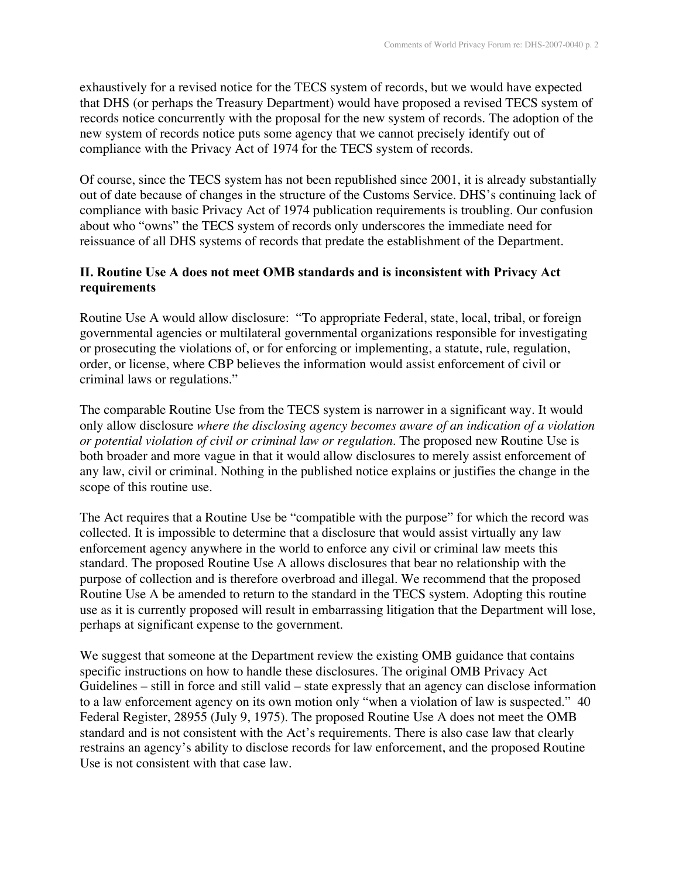exhaustively for a revised notice for the TECS system of records, but we would have expected that DHS (or perhaps the Treasury Department) would have proposed a revised TECS system of records notice concurrently with the proposal for the new system of records. The adoption of the new system of records notice puts some agency that we cannot precisely identify out of compliance with the Privacy Act of 1974 for the TECS system of records.

Of course, since the TECS system has not been republished since 2001, it is already substantially out of date because of changes in the structure of the Customs Service. DHS's continuing lack of compliance with basic Privacy Act of 1974 publication requirements is troubling. Our confusion about who "owns" the TECS system of records only underscores the immediate need for reissuance of all DHS systems of records that predate the establishment of the Department.

## **II. Routine Use A does not meet OMB standards and is inconsistent with Privacy Act requirements**

Routine Use A would allow disclosure: "To appropriate Federal, state, local, tribal, or foreign governmental agencies or multilateral governmental organizations responsible for investigating or prosecuting the violations of, or for enforcing or implementing, a statute, rule, regulation, order, or license, where CBP believes the information would assist enforcement of civil or criminal laws or regulations."

The comparable Routine Use from the TECS system is narrower in a significant way. It would only allow disclosure *where the disclosing agency becomes aware of an indication of a violation or potential violation of civil or criminal law or regulation*. The proposed new Routine Use is both broader and more vague in that it would allow disclosures to merely assist enforcement of any law, civil or criminal. Nothing in the published notice explains or justifies the change in the scope of this routine use.

The Act requires that a Routine Use be "compatible with the purpose" for which the record was collected. It is impossible to determine that a disclosure that would assist virtually any law enforcement agency anywhere in the world to enforce any civil or criminal law meets this standard. The proposed Routine Use A allows disclosures that bear no relationship with the purpose of collection and is therefore overbroad and illegal. We recommend that the proposed Routine Use A be amended to return to the standard in the TECS system. Adopting this routine use as it is currently proposed will result in embarrassing litigation that the Department will lose, perhaps at significant expense to the government.

We suggest that someone at the Department review the existing OMB guidance that contains specific instructions on how to handle these disclosures. The original OMB Privacy Act Guidelines – still in force and still valid – state expressly that an agency can disclose information to a law enforcement agency on its own motion only "when a violation of law is suspected." 40 Federal Register, 28955 (July 9, 1975). The proposed Routine Use A does not meet the OMB standard and is not consistent with the Act's requirements. There is also case law that clearly restrains an agency's ability to disclose records for law enforcement, and the proposed Routine Use is not consistent with that case law.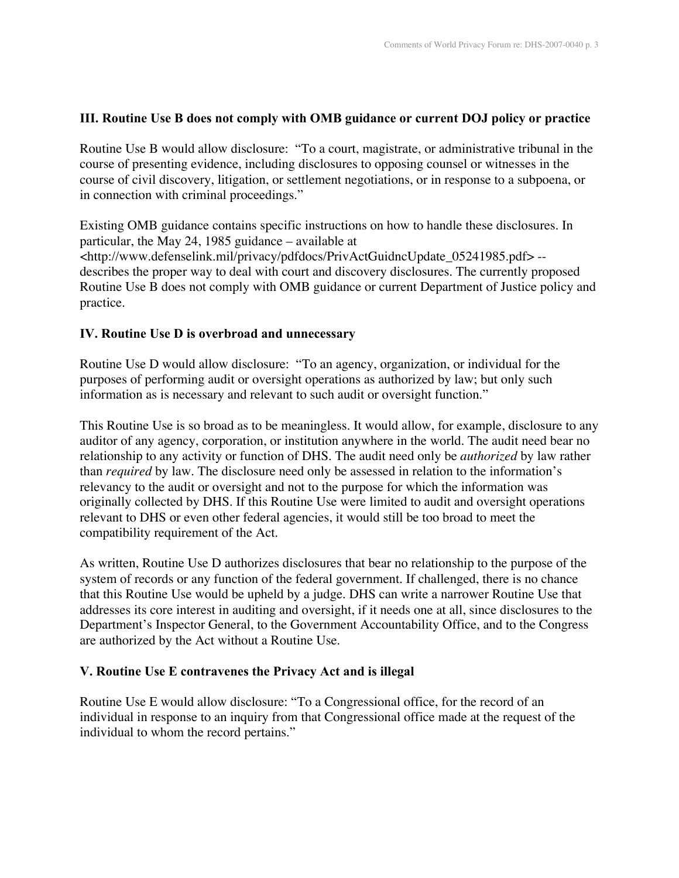### **III. Routine Use B does not comply with OMB guidance or current DOJ policy or practice**

Routine Use B would allow disclosure: "To a court, magistrate, or administrative tribunal in the course of presenting evidence, including disclosures to opposing counsel or witnesses in the course of civil discovery, litigation, or settlement negotiations, or in response to a subpoena, or in connection with criminal proceedings."

Existing OMB guidance contains specific instructions on how to handle these disclosures. In particular, the May 24, 1985 guidance – available at <http://www.defenselink.mil/privacy/pdfdocs/PrivActGuidncUpdate\_05241985.pdf> - describes the proper way to deal with court and discovery disclosures. The currently proposed Routine Use B does not comply with OMB guidance or current Department of Justice policy and practice.

### **IV. Routine Use D is overbroad and unnecessary**

Routine Use D would allow disclosure: "To an agency, organization, or individual for the purposes of performing audit or oversight operations as authorized by law; but only such information as is necessary and relevant to such audit or oversight function."

This Routine Use is so broad as to be meaningless. It would allow, for example, disclosure to any auditor of any agency, corporation, or institution anywhere in the world. The audit need bear no relationship to any activity or function of DHS. The audit need only be *authorized* by law rather than *required* by law. The disclosure need only be assessed in relation to the information's relevancy to the audit or oversight and not to the purpose for which the information was originally collected by DHS. If this Routine Use were limited to audit and oversight operations relevant to DHS or even other federal agencies, it would still be too broad to meet the compatibility requirement of the Act.

As written, Routine Use D authorizes disclosures that bear no relationship to the purpose of the system of records or any function of the federal government. If challenged, there is no chance that this Routine Use would be upheld by a judge. DHS can write a narrower Routine Use that addresses its core interest in auditing and oversight, if it needs one at all, since disclosures to the Department's Inspector General, to the Government Accountability Office, and to the Congress are authorized by the Act without a Routine Use.

### **V. Routine Use E contravenes the Privacy Act and is illegal**

Routine Use E would allow disclosure: "To a Congressional office, for the record of an individual in response to an inquiry from that Congressional office made at the request of the individual to whom the record pertains."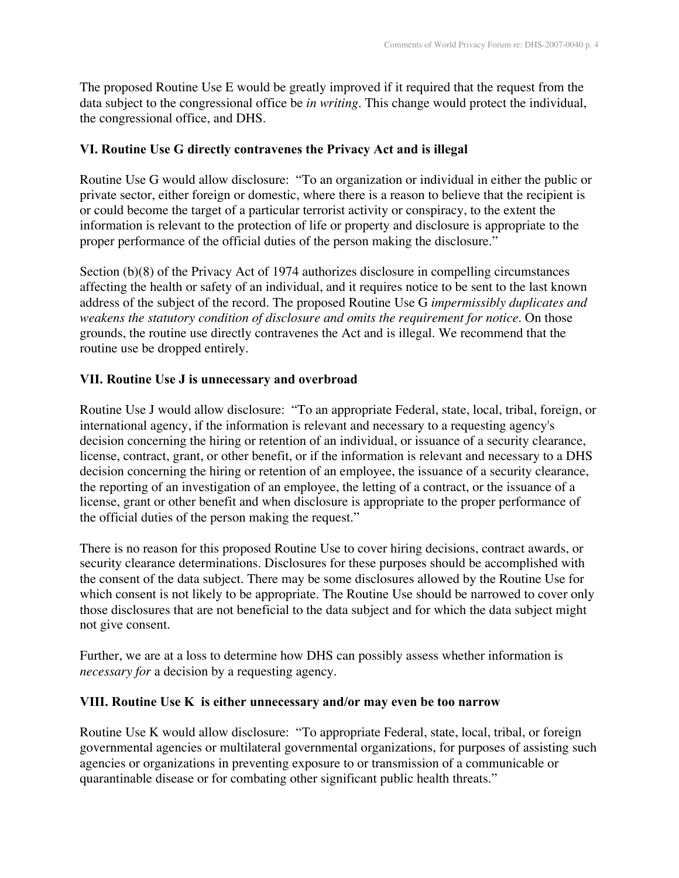The proposed Routine Use E would be greatly improved if it required that the request from the data subject to the congressional office be *in writing*. This change would protect the individual, the congressional office, and DHS.

### **VI. Routine Use G directly contravenes the Privacy Act and is illegal**

Routine Use G would allow disclosure: "To an organization or individual in either the public or private sector, either foreign or domestic, where there is a reason to believe that the recipient is or could become the target of a particular terrorist activity or conspiracy, to the extent the information is relevant to the protection of life or property and disclosure is appropriate to the proper performance of the official duties of the person making the disclosure."

Section (b)(8) of the Privacy Act of 1974 authorizes disclosure in compelling circumstances affecting the health or safety of an individual, and it requires notice to be sent to the last known address of the subject of the record. The proposed Routine Use G *impermissibly duplicates and weakens the statutory condition of disclosure and omits the requirement for notice*. On those grounds, the routine use directly contravenes the Act and is illegal. We recommend that the routine use be dropped entirely.

### **VII. Routine Use J is unnecessary and overbroad**

Routine Use J would allow disclosure: "To an appropriate Federal, state, local, tribal, foreign, or international agency, if the information is relevant and necessary to a requesting agency's decision concerning the hiring or retention of an individual, or issuance of a security clearance, license, contract, grant, or other benefit, or if the information is relevant and necessary to a DHS decision concerning the hiring or retention of an employee, the issuance of a security clearance, the reporting of an investigation of an employee, the letting of a contract, or the issuance of a license, grant or other benefit and when disclosure is appropriate to the proper performance of the official duties of the person making the request."

There is no reason for this proposed Routine Use to cover hiring decisions, contract awards, or security clearance determinations. Disclosures for these purposes should be accomplished with the consent of the data subject. There may be some disclosures allowed by the Routine Use for which consent is not likely to be appropriate. The Routine Use should be narrowed to cover only those disclosures that are not beneficial to the data subject and for which the data subject might not give consent.

Further, we are at a loss to determine how DHS can possibly assess whether information is *necessary for* a decision by a requesting agency.

### **VIII. Routine Use K is either unnecessary and/or may even be too narrow**

Routine Use K would allow disclosure: "To appropriate Federal, state, local, tribal, or foreign governmental agencies or multilateral governmental organizations, for purposes of assisting such agencies or organizations in preventing exposure to or transmission of a communicable or quarantinable disease or for combating other significant public health threats."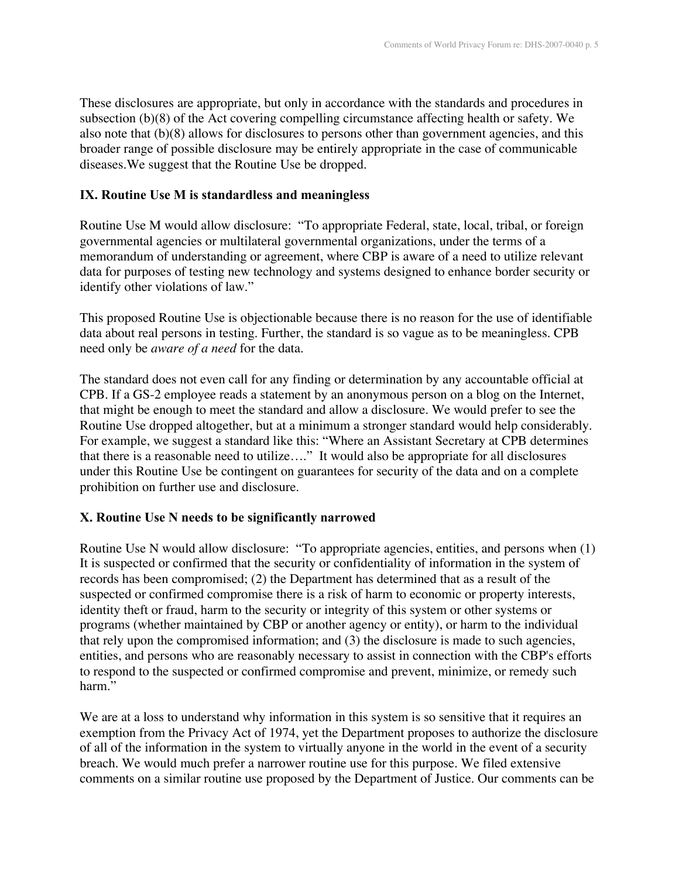These disclosures are appropriate, but only in accordance with the standards and procedures in subsection (b)(8) of the Act covering compelling circumstance affecting health or safety. We also note that (b)(8) allows for disclosures to persons other than government agencies, and this broader range of possible disclosure may be entirely appropriate in the case of communicable diseases.We suggest that the Routine Use be dropped.

### **IX. Routine Use M is standardless and meaningless**

Routine Use M would allow disclosure: "To appropriate Federal, state, local, tribal, or foreign governmental agencies or multilateral governmental organizations, under the terms of a memorandum of understanding or agreement, where CBP is aware of a need to utilize relevant data for purposes of testing new technology and systems designed to enhance border security or identify other violations of law."

This proposed Routine Use is objectionable because there is no reason for the use of identifiable data about real persons in testing. Further, the standard is so vague as to be meaningless. CPB need only be *aware of a need* for the data.

The standard does not even call for any finding or determination by any accountable official at CPB. If a GS-2 employee reads a statement by an anonymous person on a blog on the Internet, that might be enough to meet the standard and allow a disclosure. We would prefer to see the Routine Use dropped altogether, but at a minimum a stronger standard would help considerably. For example, we suggest a standard like this: "Where an Assistant Secretary at CPB determines that there is a reasonable need to utilize…." It would also be appropriate for all disclosures under this Routine Use be contingent on guarantees for security of the data and on a complete prohibition on further use and disclosure.

### **X. Routine Use N needs to be significantly narrowed**

Routine Use N would allow disclosure: "To appropriate agencies, entities, and persons when (1) It is suspected or confirmed that the security or confidentiality of information in the system of records has been compromised; (2) the Department has determined that as a result of the suspected or confirmed compromise there is a risk of harm to economic or property interests, identity theft or fraud, harm to the security or integrity of this system or other systems or programs (whether maintained by CBP or another agency or entity), or harm to the individual that rely upon the compromised information; and (3) the disclosure is made to such agencies, entities, and persons who are reasonably necessary to assist in connection with the CBP's efforts to respond to the suspected or confirmed compromise and prevent, minimize, or remedy such harm."

We are at a loss to understand why information in this system is so sensitive that it requires an exemption from the Privacy Act of 1974, yet the Department proposes to authorize the disclosure of all of the information in the system to virtually anyone in the world in the event of a security breach. We would much prefer a narrower routine use for this purpose. We filed extensive comments on a similar routine use proposed by the Department of Justice. Our comments can be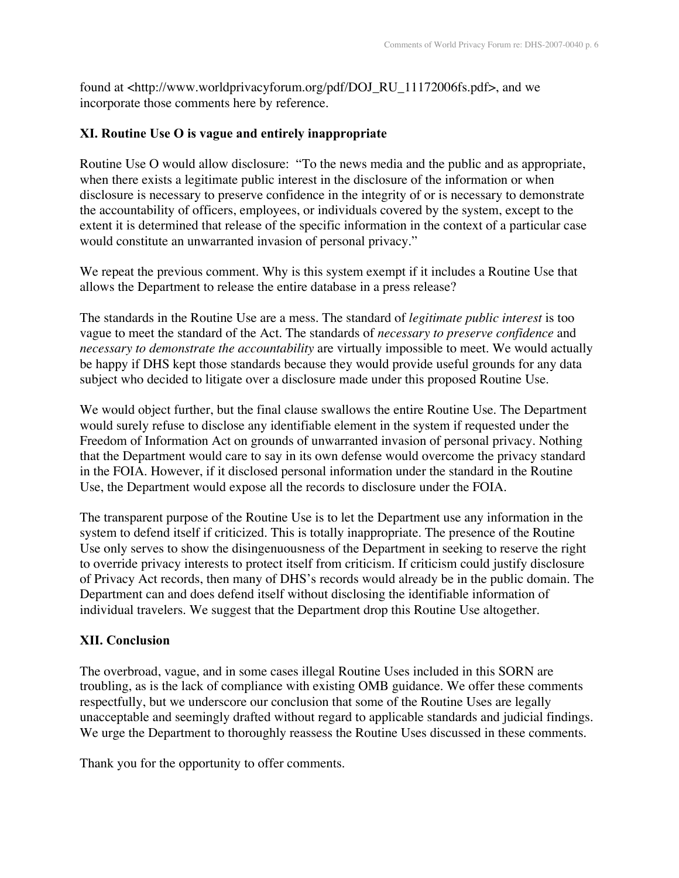found at <http://www.worldprivacyforum.org/pdf/DOJ\_RU\_11172006fs.pdf>, and we incorporate those comments here by reference.

### **XI. Routine Use O is vague and entirely inappropriate**

Routine Use O would allow disclosure: "To the news media and the public and as appropriate, when there exists a legitimate public interest in the disclosure of the information or when disclosure is necessary to preserve confidence in the integrity of or is necessary to demonstrate the accountability of officers, employees, or individuals covered by the system, except to the extent it is determined that release of the specific information in the context of a particular case would constitute an unwarranted invasion of personal privacy."

We repeat the previous comment. Why is this system exempt if it includes a Routine Use that allows the Department to release the entire database in a press release?

The standards in the Routine Use are a mess. The standard of *legitimate public interest* is too vague to meet the standard of the Act. The standards of *necessary to preserve confidence* and *necessary to demonstrate the accountability* are virtually impossible to meet. We would actually be happy if DHS kept those standards because they would provide useful grounds for any data subject who decided to litigate over a disclosure made under this proposed Routine Use.

We would object further, but the final clause swallows the entire Routine Use. The Department would surely refuse to disclose any identifiable element in the system if requested under the Freedom of Information Act on grounds of unwarranted invasion of personal privacy. Nothing that the Department would care to say in its own defense would overcome the privacy standard in the FOIA. However, if it disclosed personal information under the standard in the Routine Use, the Department would expose all the records to disclosure under the FOIA.

The transparent purpose of the Routine Use is to let the Department use any information in the system to defend itself if criticized. This is totally inappropriate. The presence of the Routine Use only serves to show the disingenuousness of the Department in seeking to reserve the right to override privacy interests to protect itself from criticism. If criticism could justify disclosure of Privacy Act records, then many of DHS's records would already be in the public domain. The Department can and does defend itself without disclosing the identifiable information of individual travelers. We suggest that the Department drop this Routine Use altogether.

## **XII. Conclusion**

The overbroad, vague, and in some cases illegal Routine Uses included in this SORN are troubling, as is the lack of compliance with existing OMB guidance. We offer these comments respectfully, but we underscore our conclusion that some of the Routine Uses are legally unacceptable and seemingly drafted without regard to applicable standards and judicial findings. We urge the Department to thoroughly reassess the Routine Uses discussed in these comments.

Thank you for the opportunity to offer comments.